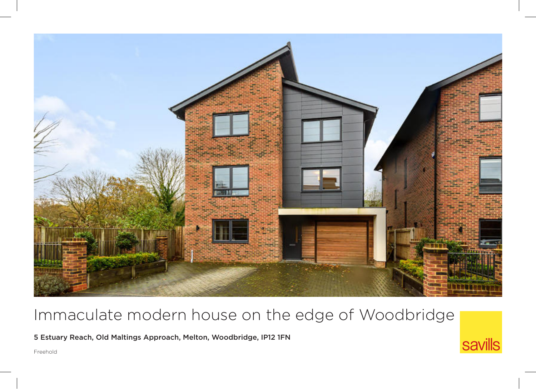

# Immaculate modern house on the edge of Woodbridge

5 Estuary Reach, Old Maltings Approach, Melton, Woodbridge, IP12 1FN

Freehold

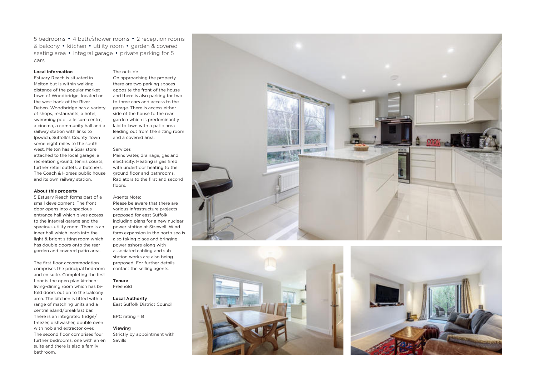5 bedrooms • 4 bath/shower rooms • 2 reception rooms & balcony • kitchen • utility room • garden & covered seating area • integral garage • private parking for 5 cars

### **Local information**

Estuary Reach is situated in Melton but is within walking distance of the popular market town of Woodbridge, located on the west bank of the River Deben. Woodbridge has a variety of shops, restaurants, a hotel, swimming pool, a leisure centre, a cinema, a community hall and a railway station with links to Ipswich, Suffolk's County Town some eight miles to the south west. Melton has a Spar store attached to the local garage, a recreation ground, tennis courts, further retail outlets, a butchers. The Coach & Horses public house and its own railway station.

## **About this property**

5 Estuary Reach forms part of a small development. The front door opens into a spacious entrance hall which gives access to the integral garage and the spacious utility room. There is an inner hall which leads into the light & bright sitting room which has double doors onto the rear garden and covered patio area.

The first floor accommodation comprises the principal bedroom and en suite. Completing the first floor is the open plan kitchenliving-dining room which has bifold doors out on to the balcony area. The kitchen is fitted with a range of matching units and a central island/breakfast bar. There is an integrated fridge/ freezer, dishwasher, double oven with hob and extractor over. The second floor comprises four further bedrooms, one with an en suite and there is also a family bathroom.

#### The outside

On approaching the property there are two parking spaces opposite the front of the house and there is also parking for two to three cars and access to the garage. There is access either side of the house to the rear garden which is predominantly laid to lawn with a patio area leading out from the sitting room and a covered area.

### Services

Mains water, drainage, gas and electricity. Heating is gas fired with underfloor heating to the ground floor and bathrooms. Radiators to the first and second floors

# Agents Note:

Please be aware that there are various infrastructure projects proposed for east Suffolk including plans for a new nuclear power station at Sizewell. Wind farm expansion in the north sea is also taking place and bringing power ashore along with associated cabling and sub station works are also being proposed. For further details contact the selling agents.

# **Tenure**

Freehold

# **Local Authority** East Suffolk District Council

EPC rating = B

#### **Viewing**

Strictly by appointment with Savills





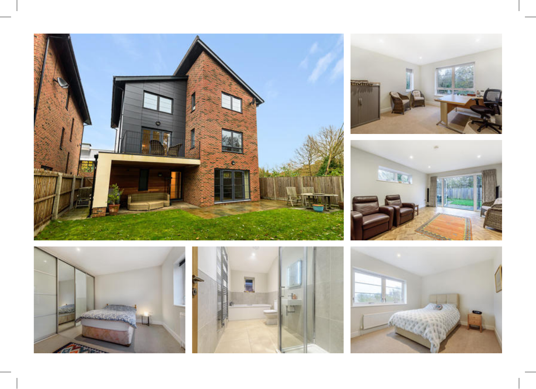